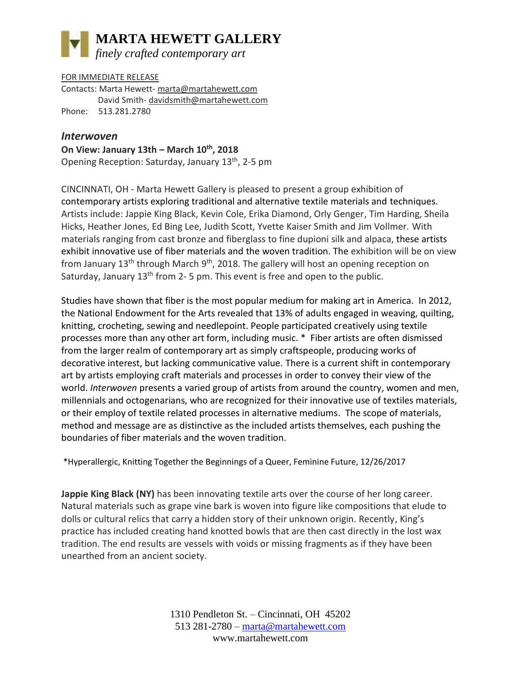## **MARTA HEWETT GALLERY** *finely crafted contemporary art*

FOR IMMEDIATE RELEASE Contacts: Marta Hewett- [marta@martahewett.com](mailto:marta@martahewett.com)  David Smith- [davidsmith@martahewett.com](mailto:davidsmith@martahewett.com) Phone: 513.281.2780

## *Interwoven*

**On View: January 13th – March 10th, 2018**  Opening Reception: Saturday, January 13<sup>th</sup>, 2-5 pm

CINCINNATI, OH - Marta Hewett Gallery is pleased to present a group exhibition of contemporary artists exploring traditional and alternative textile materials and techniques. Artists include: Jappie King Black, Kevin Cole, Erika Diamond, Orly Genger, Tim Harding, Sheila Hicks, Heather Jones, Ed Bing Lee, Judith Scott, Yvette Kaiser Smith and Jim Vollmer. With materials ranging from cast bronze and fiberglass to fine dupioni silk and alpaca, these artists exhibit innovative use of fiber materials and the woven tradition. The exhibition will be on view from January  $13<sup>th</sup>$  through March  $9<sup>th</sup>$ , 2018. The gallery will host an opening reception on Saturday, January 13<sup>th</sup> from 2-5 pm. This event is free and open to the public.

Studies have shown that fiber is the most popular medium for making art in America. In 2012, the National Endowment for the Arts revealed that 13% of adults engaged in weaving, quilting, knitting, crocheting, sewing and needlepoint. People participated creatively using textile processes more than any other art form, including music. \* Fiber artists are often dismissed from the larger realm of contemporary art as simply craftspeople, producing works of decorative interest, but lacking communicative value. There is a current shift in contemporary art by artists employing craft materials and processes in order to convey their view of the world. *Interwoven* presents a varied group of artists from around the country, women and men, millennials and octogenarians, who are recognized for their innovative use of textiles materials, or their employ of textile related processes in alternative mediums. The scope of materials, method and message are as distinctive as the included artists themselves, each pushing the boundaries of fiber materials and the woven tradition.

\*Hyperallergic, Knitting Together the Beginnings of a Queer, Feminine Future, 12/26/2017

**Jappie King Black (NY)** has been innovating textile arts over the course of her long career. Natural materials such as grape vine bark is woven into figure like compositions that elude to dolls or cultural relics that carry a hidden story of their unknown origin. Recently, King's practice has included creating hand knotted bowls that are then cast directly in the lost wax tradition. The end results are vessels with voids or missing fragments as if they have been unearthed from an ancient society.

> 1310 Pendleton St. – Cincinnati, OH 45202 513 281-2780 – [marta@martahewett.com](mailto:marta@martahewett.com) www.martahewett.com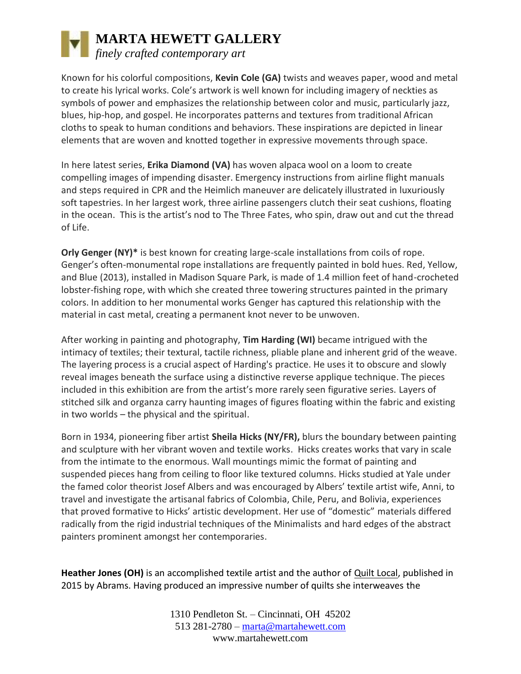## **MARTA HEWETT GALLERY** *finely crafted contemporary art*

Known for his colorful compositions, **Kevin Cole (GA)** twists and weaves paper, wood and metal to create his lyrical works. Cole's artwork is well known for including imagery of neckties as symbols of power and emphasizes the relationship between color and music, particularly jazz, blues, hip-hop, and gospel. He incorporates patterns and textures from traditional African cloths to speak to human conditions and behaviors. These inspirations are depicted in linear elements that are woven and knotted together in expressive movements through space.

In here latest series, **Erika Diamond (VA)** has woven alpaca wool on a loom to create compelling images of impending disaster. Emergency instructions from airline flight manuals and steps required in CPR and the Heimlich maneuver are delicately illustrated in luxuriously soft tapestries. In her largest work, three airline passengers clutch their seat cushions, floating in the ocean. This is the artist's nod to The Three Fates, who spin, draw out and cut the thread of Life.

**Orly Genger (NY)\*** is best known for creating large-scale installations from coils of rope. Genger's often-monumental rope installations are frequently painted in bold hues. Red, Yellow, and Blue (2013), installed in Madison Square Park, is made of 1.4 million feet of hand-crocheted lobster-fishing rope, with which she created three towering structures painted in the primary colors. In addition to her monumental works Genger has captured this relationship with the material in cast metal, creating a permanent knot never to be unwoven.

After working in painting and photography, **Tim Harding (WI)** became intrigued with the intimacy of textiles; their textural, tactile richness, pliable plane and inherent grid of the weave. The layering process is a crucial aspect of Harding's practice. He uses it to obscure and slowly reveal images beneath the surface using a distinctive reverse applique technique. The pieces included in this exhibition are from the artist's more rarely seen figurative series. Layers of stitched silk and organza carry haunting images of figures floating within the fabric and existing in two worlds – the physical and the spiritual.

Born in 1934, pioneering fiber artist **Sheila Hicks (NY/FR),** blurs the boundary between painting and sculpture with her vibrant woven and textile works. Hicks creates works that vary in scale from the intimate to the enormous. Wall mountings mimic the format of painting and suspended pieces hang from ceiling to floor like textured columns. Hicks studied at Yale under the famed color theorist Josef Albers and was encouraged by Albers' textile artist wife, Anni, to travel and investigate the artisanal fabrics of Colombia, Chile, Peru, and Bolivia, experiences that proved formative to Hicks' artistic development. Her use of "domestic" materials differed radically from the rigid industrial techniques of the Minimalists and hard edges of the abstract painters prominent amongst her contemporaries.

**Heather Jones (OH)** is an accomplished textile artist and the author of Quilt Local, published in 2015 by Abrams. Having produced an impressive number of quilts she interweaves the

> 1310 Pendleton St. – Cincinnati, OH 45202 513 281-2780 – [marta@martahewett.com](mailto:marta@martahewett.com) www.martahewett.com